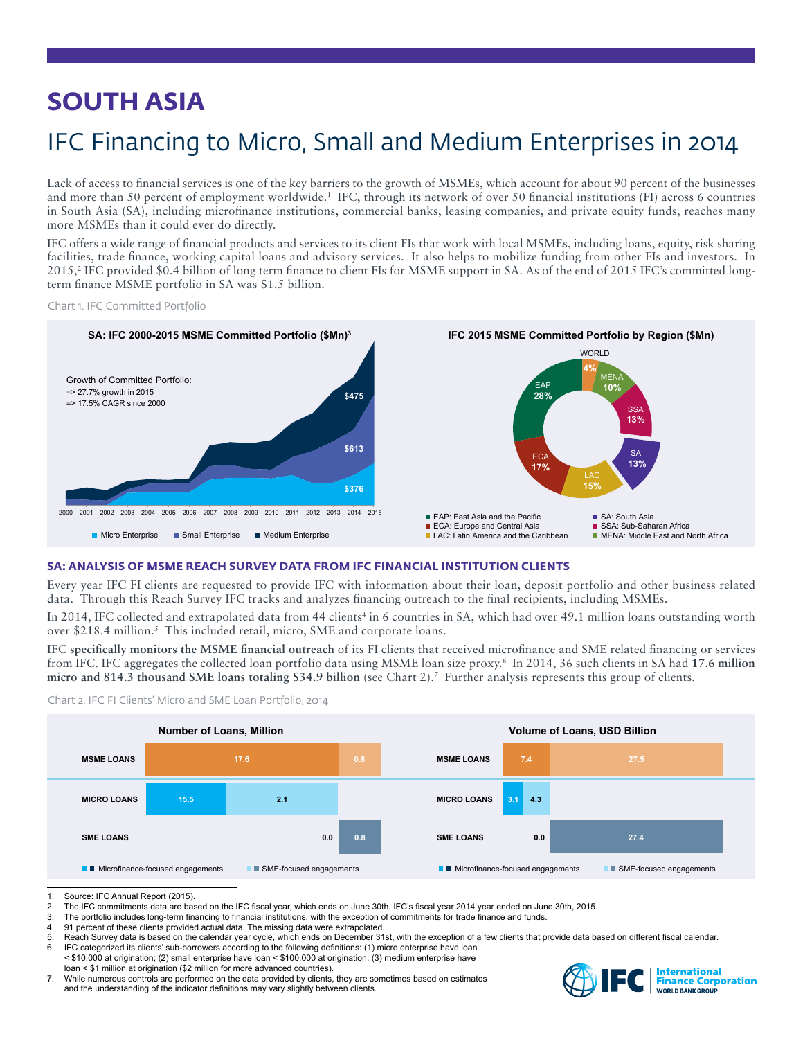# **SOUTH ASIA**

# IFC Financing to Micro, Small and Medium Enterprises in 2014

Lack of access to financial services is one of the key barriers to the growth of MSMEs, which account for about 90 percent of the businesses and more than 50 percent of employment worldwide.<sup>1</sup> IFC, through its network of over 50 financial institutions (FI) across 6 countries in South Asia (SA), including microfinance institutions, commercial banks, leasing companies, and private equity funds, reaches many more MSMEs than it could ever do directly.

IFC offers a wide range of financial products and services to its client FIs that work with local MSMEs, including loans, equity, risk sharing facilities, trade finance, working capital loans and advisory services. It also helps to mobilize funding from other FIs and investors. In 2015,<sup>2</sup> IFC provided \$0.4 billion of long term finance to client FIs for MSME support in SA. As of the end of 2015 IFC's committed longterm finance MSME portfolio in SA was \$1.5 billion.

Chart 1. IFC Committed Portfolio



## **SA: ANALYSIS OF MSME REACH SURVEY DATA FROM IFC FINANCIAL INSTITUTION CLIENTS**

Every year IFC FI clients are requested to provide IFC with information about their loan, deposit portfolio and other business related data. Through this Reach Survey IFC tracks and analyzes financing outreach to the final recipients, including MSMEs.

In 2014, IFC collected and extrapolated data from 44 clients<sup>4</sup> in 6 countries in SA, which had over 49.1 million loans outstanding worth over \$218.4 million.<sup>5</sup> This included retail, micro, SME and corporate loans.

IFC **specifically monitors the MSME financial outreach** of its FI clients that received microfinance and SME related financing or services from IFC. IFC aggregates the collected loan portfolio data using MSME loan size proxy.6 In 2014, 36 such clients in SA had **17.6 million micro and 814.3 thousand SME loans totaling \$34.9 billion** (see Chart 2).7 Further analysis represents this group of clients.



Chart 2. IFC FI Clients' Micro and SME Loan Portfolio, 2014

- 3. The portfolio includes long-term financing to financial institutions, with the exception of commitments for trade finance and funds.<br>4. 91 percent of these clients provided actual data. The missing data were extrapolate
- 91 percent of these clients provided actual data. The missing data were extrapolated.
- 5. Reach Survey data is based on the calendar year cycle, which ends on December 31st, with the exception of a few clients that provide data based on different fiscal calendar.<br>6. IEC categorized its clients' sub-borrowers
- IFC categorized its clients' sub-borrowers according to the following definitions: (1) micro enterprise have loan < \$10,000 at origination; (2) small enterprise have loan < \$100,000 at origination; (3) medium enterprise have loan < \$1 million at origination (\$2 million for more advanced countries).
- 7. While numerous controls are performed on the data provided by clients, they are sometimes based on estimates and the understanding of the indicator definitions may vary slightly between clients.



<sup>1.</sup> Source: IFC Annual Report (2015).<br>2. The IFC commitments data are base

The IFC commitments data are based on the IFC fiscal year, which ends on June 30th. IFC's fiscal year 2014 year ended on June 30th, 2015.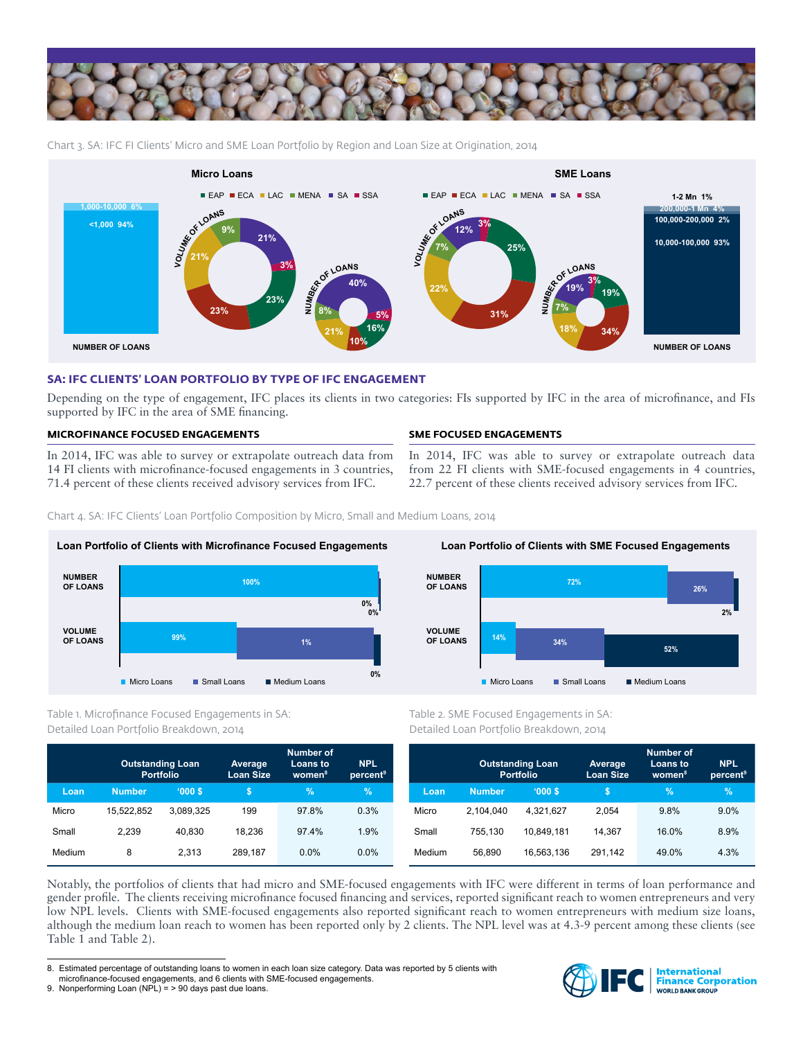

Chart 3. SA: IFC FI Clients' Micro and SME Loan Portfolio by Region and Loan Size at Origination, 2014



## **SA: IFC CLIENTS' LOAN PORTFOLIO BY TYPE OF IFC ENGAGEMENT**

Depending on the type of engagement, IFC places its clients in two categories: FIs supported by IFC in the area of microfinance, and FIs supported by IFC in the area of SME financing.

## **MICROFINANCE FOCUSED ENGAGEMENTS**

In 2014, IFC was able to survey or extrapolate outreach data from 14 FI clients with microfinance-focused engagements in 3 countries, 71.4 percent of these clients received advisory services from IFC.

## **SME FOCUSED ENGAGEMENTS**

In 2014, IFC was able to survey or extrapolate outreach data from 22 FI clients with SME-focused engagements in 4 countries, 22.7 percent of these clients received advisory services from IFC.

Chart 4. SA: IFC Clients' Loan Portfolio Composition by Micro, Small and Medium Loans, 2014



Table 1. Microfinance Focused Engagements in SA: Detailed Loan Portfolio Breakdown, 2014

|        | <b>Outstanding Loan</b><br><b>Portfolio</b> |           | Average<br><b>Loan Size</b> | <b>Number of</b><br>Loans to<br>women <sup>8</sup> | <b>NPL</b><br>percent <sup>9</sup> |
|--------|---------------------------------------------|-----------|-----------------------------|----------------------------------------------------|------------------------------------|
| Loan   | <b>Number</b>                               | '000S     | \$                          | $\frac{9}{6}$                                      | $\%$                               |
| Micro  | 15.522.852                                  | 3.089.325 | 199                         | 97.8%                                              | 0.3%                               |
| Small  | 2.239                                       | 40.830    | 18.236                      | 97.4%                                              | 1.9%                               |
| Medium | 8                                           | 2.313     | 289.187                     | 0.0%                                               | $0.0\%$                            |



Table 2. SME Focused Engagements in SA: Detailed Loan Portfolio Breakdown, 2014

|        | <b>Outstanding Loan</b><br><b>Portfolio</b> |            | Average<br><b>Loan Size</b> | <b>Number of</b><br>Loans to<br>women <sup>8</sup> | <b>NPL</b><br>percent <sup>9</sup> |
|--------|---------------------------------------------|------------|-----------------------------|----------------------------------------------------|------------------------------------|
| Loan   | <b>Number</b>                               | '000S      | S                           | $\%$                                               | $\%$                               |
| Micro  | 2.104.040                                   | 4.321.627  | 2.054                       | 9.8%                                               | 9.0%                               |
| Small  | 755.130                                     | 10.849.181 | 14.367                      | 16.0%                                              | 8.9%                               |
| Medium | 56,890                                      | 16.563.136 | 291,142                     | 49.0%                                              | 4.3%                               |

Notably, the portfolios of clients that had micro and SME-focused engagements with IFC were different in terms of loan performance and gender profile. The clients receiving microfinance focused financing and services, reported significant reach to women entrepreneurs and very low NPL levels. Clients with SME-focused engagements also reported significant reach to women entrepreneurs with medium size loans, although the medium loan reach to women has been reported only by 2 clients. The NPL level was at 4.3-9 percent among these clients (see Table 1 and Table 2).



<sup>8.</sup> Estimated percentage of outstanding loans to women in each loan size category. Data was reported by 5 clients with microfinance-focused engagements, and 6 clients with SME-focused engagements.

<sup>9.</sup> Nonperforming Loan (NPL) = > 90 days past due loans.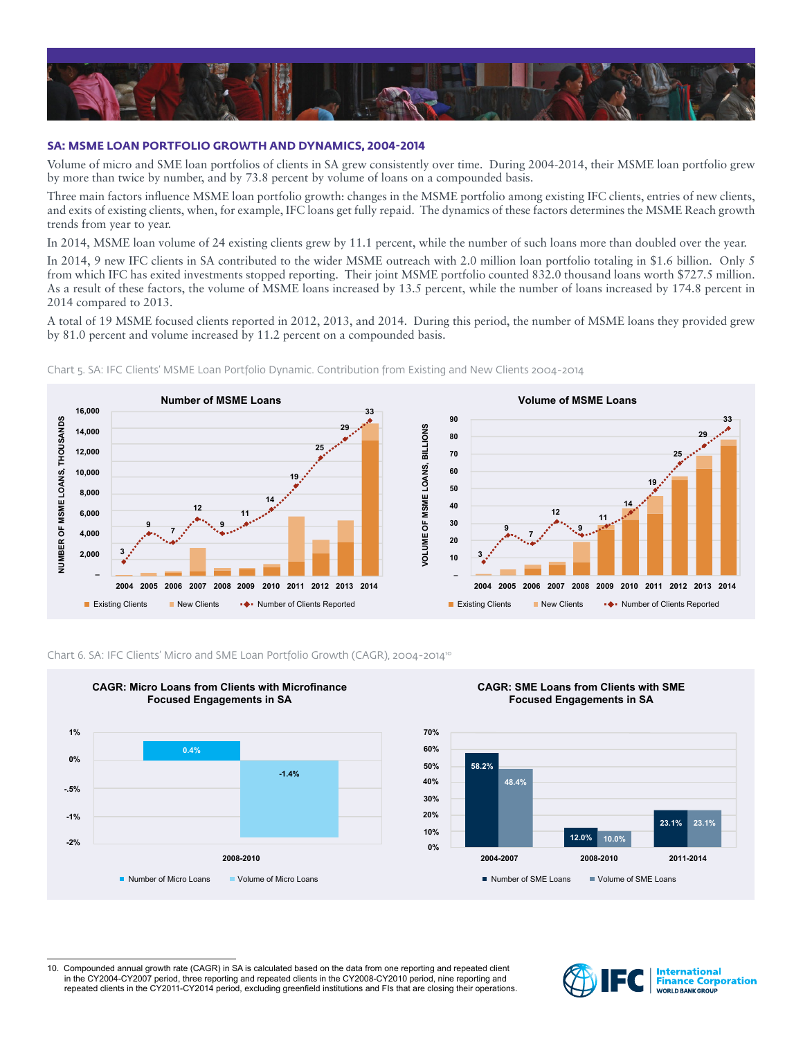

## **SA: MSME LOAN PORTFOLIO GROWTH AND DYNAMICS, 2004-2014**

Volume of micro and SME loan portfolios of clients in SA grew consistently over time. During 2004-2014, their MSME loan portfolio grew by more than twice by number, and by 73.8 percent by volume of loans on a compounded basis.

Three main factors influence MSME loan portfolio growth: changes in the MSME portfolio among existing IFC clients, entries of new clients, and exits of existing clients, when, for example, IFC loans get fully repaid. The dynamics of these factors determines the MSME Reach growth trends from year to year.

In 2014, MSME loan volume of 24 existing clients grew by 11.1 percent, while the number of such loans more than doubled over the year.

In 2014, 9 new IFC clients in SA contributed to the wider MSME outreach with 2.0 million loan portfolio totaling in \$1.6 billion. Only 5 from which IFC has exited investments stopped reporting. Their joint MSME portfolio counted 832.0 thousand loans worth \$727.5 million. As a result of these factors, the volume of MSME loans increased by 13.5 percent, while the number of loans increased by 174.8 percent in 2014 compared to 2013.

A total of 19 MSME focused clients reported in 2012, 2013, and 2014. During this period, the number of MSME loans they provided grew by 81.0 percent and volume increased by 11.2 percent on a compounded basis.



Chart 5. SA: IFC Clients' MSME Loan Portfolio Dynamic. Contribution from Existing and New Clients 2004-2014



#### Chart 6. SA: IFC Clients' Micro and SME Loan Portfolio Growth (CAGR), 2004-2014<sup>10</sup>



**CAGR: Micro Loans from Clients with Microfinance** 

### **CAGR: SME Loans from Clients with SME Focused Engagements in SA**



10. Compounded annual growth rate (CAGR) in SA is calculated based on the data from one reporting and repeated client in the CY2004-CY2007 period, three reporting and repeated clients in the CY2008-CY2010 period, nine reporting and